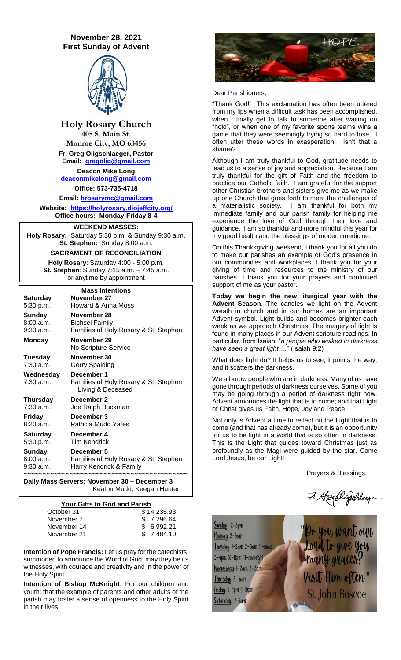# **November 28, 2021 First Sunday of Advent**



**Holy Rosary Church 405 S. Main St.**

**Monroe City, MO 63456 Fr. Greg Oligschlaeger, Pastor**

**Email: [gregolig@gmail.com](mailto:gregolig@gmail.com) Deacon Mike Long [deaconmikelong@gmail.com](mailto:deaconmikelong@gmail.com) Office: 573-735-4718** 

**Email: [hrosarymc@gmail.com](mailto:hrosarymc@gmail.com)**

**Website: <https://holyrosary.diojeffcity.org/> Office hours: Monday-Friday 8-4**

## **WEEKEND MASSES:**

**Holy Rosary:** Saturday 5:30 p.m. & Sunday 9:30 a.m. **St. Stephen:** Sunday 8:00 a.m.

## **SACRAMENT OF RECONCILIATION**

**Holy Rosary**: Saturday 4:00 - 5:00 p.m. **St. Stephen**: Sunday 7:15 a.m. – 7:45 a.m. or anytime by appointment

| <b>Mass Intentions</b>       |                                                                          |  |  |
|------------------------------|--------------------------------------------------------------------------|--|--|
| <b>Saturday</b>              | November 27                                                              |  |  |
| 5:30 p.m.                    | Howard & Anna Moss                                                       |  |  |
| <b>Sunday</b>                | November 28                                                              |  |  |
| 8:00a.m.<br>$9:30$ a.m.      | Bichsel Family<br>Families of Holy Rosary & St. Stephen                  |  |  |
| <b>Monday</b>                | November 29<br>No Scripture Service                                      |  |  |
| Tuesday<br>7:30 a.m.         | November 30<br>Gerry Spalding                                            |  |  |
| Wednesday<br>7:30 a.m.       | December 1<br>Families of Holy Rosary & St. Stephen<br>Living & Deceased |  |  |
| <b>Thursday</b><br>7:30 a.m. | December 2<br>Joe Ralph Buckman                                          |  |  |
| Friday<br>8:20 a.m.          | December 3<br>Patricia Mudd Yates                                        |  |  |
| <b>Saturday</b><br>5:30 p.m. | December 4<br><b>Tim Kendrick</b>                                        |  |  |
| Sunday                       | December 5                                                               |  |  |
| 8:00 a.m.                    | Families of Holy Rosary & St. Stephen                                    |  |  |
| $9:30$ a.m.                  | Harry Kendrick & Family                                                  |  |  |

**Daily Mass Servers: November 30 – December 3** Keaton Mudd, Keegan Hunter

# **Your Gifts to God and Parish**

| October 31  | \$14.235.93 |
|-------------|-------------|
| November 7  | \$7,296.64  |
| November 14 | \$ 6.992.21 |
| November 21 | \$ 7.484.10 |

**Intention of Pope Francis:** Let us pray for the catechists, summoned to announce the Word of God: may they be its witnesses, with courage and creativity and in the power of the Holy Spirit.

**Intention of Bishop McKnight**: For our children and youth: that the example of parents and other adults of the parish may foster a sense of openness to the Holy Spirit in their lives.



## Dear Parishioners,

"Thank God!" This exclamation has often been uttered from my lips when a difficult task has been accomplished, when I finally get to talk to someone after waiting on "hold", or when one of my favorite sports teams wins a game that they were seemingly trying so hard to lose. I often utter these words in exasperation. Isn't that a shame?

Although I am truly thankful to God, gratitude needs to lead us to a sense of joy and appreciation. Because I am truly thankful for the gift of Faith and the freedom to practice our Catholic faith. I am grateful for the support other Christian brothers and sisters give me as we make up one Church that goes forth to meet the challenges of a materialistic society. I am thankful for both my immediate family and our parish family for helping me experience the love of God through their love and guidance. I am so thankful and more mindful this year for my good health and the blessings of modern medicine.

On this Thanksgiving weekend, I thank you for all you do to make our parishes an example of God's presence in our communities and workplaces. I thank you for your giving of time and resources to the ministry of our parishes. I thank you for your prayers and continued support of me as your pastor.

**Today we begin the new liturgical year with the Advent Season**. The candles we light on the Advent wreath in church and in our homes are an important Advent symbol. Light builds and becomes brighter each week as we approach Christmas. The imagery of light is found in many places in our Advent scripture readings. In particular, from Isaiah, "*a people who walked in darkness have seen a great light….*" (Isaiah 9:2)

What does light do? It helps us to see; it points the way; and it scatters the darkness.

We all know people who are in darkness. Many of us have gone through periods of darkness ourselves. Some of you may be going through a period of darkness right now. Advent announces the light that is to come; and that Light of Christ gives us Faith, Hope, Joy and Peace.

Not only is Advent a time to reflect on the Light that is to come (and that has already come), but it is an opportunity for us to be light in a world that is so often in darkness. This is the Light that guides toward Christmas just as profoundly as the Magi were guided by the star. Come Lord Jesus, be our Light!

Prayers & Blessings,

Hayalligahlay